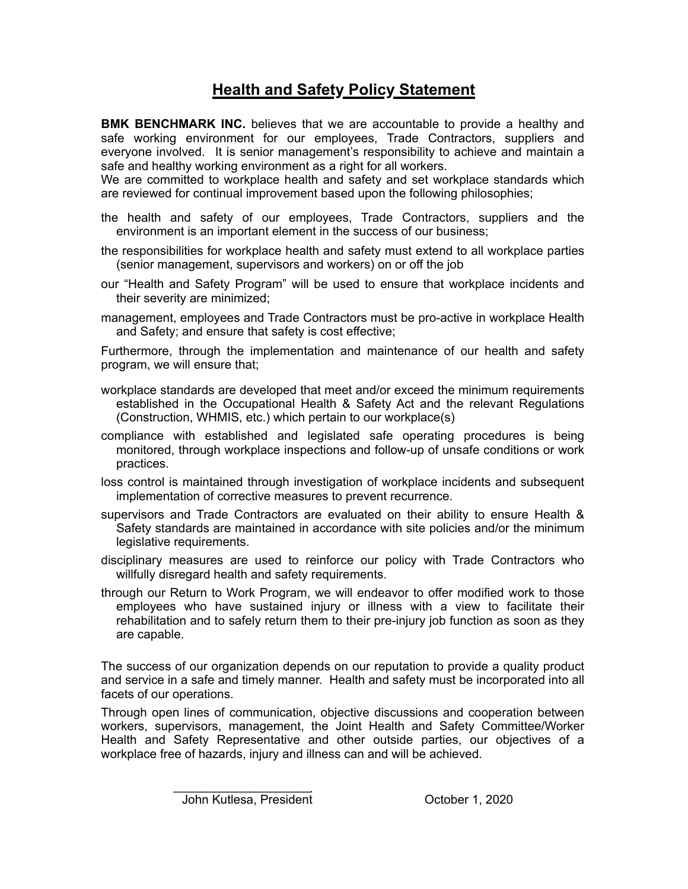## **Health and Safety Policy Statement**

**BMK BENCHMARK INC.** believes that we are accountable to provide a healthy and safe working environment for our employees, Trade Contractors, suppliers and everyone involved. It is senior management's responsibility to achieve and maintain a safe and healthy working environment as a right for all workers.

We are committed to workplace health and safety and set workplace standards which are reviewed for continual improvement based upon the following philosophies;

- the health and safety of our employees, Trade Contractors, suppliers and the environment is an important element in the success of our business;
- the responsibilities for workplace health and safety must extend to all workplace parties (senior management, supervisors and workers) on or off the job
- our "Health and Safety Program" will be used to ensure that workplace incidents and their severity are minimized;
- management, employees and Trade Contractors must be pro-active in workplace Health and Safety; and ensure that safety is cost effective;

Furthermore, through the implementation and maintenance of our health and safety program, we will ensure that;

- workplace standards are developed that meet and/or exceed the minimum requirements established in the Occupational Health & Safety Act and the relevant Regulations (Construction, WHMIS, etc.) which pertain to our workplace(s)
- compliance with established and legislated safe operating procedures is being monitored, through workplace inspections and follow-up of unsafe conditions or work practices.
- loss control is maintained through investigation of workplace incidents and subsequent implementation of corrective measures to prevent recurrence.
- supervisors and Trade Contractors are evaluated on their ability to ensure Health & Safety standards are maintained in accordance with site policies and/or the minimum legislative requirements.
- disciplinary measures are used to reinforce our policy with Trade Contractors who willfully disregard health and safety requirements.
- through our Return to Work Program, we will endeavor to offer modified work to those employees who have sustained injury or illness with a view to facilitate their rehabilitation and to safely return them to their pre-injury job function as soon as they are capable.

The success of our organization depends on our reputation to provide a quality product and service in a safe and timely manner. Health and safety must be incorporated into all facets of our operations.

Through open lines of communication, objective discussions and cooperation between workers, supervisors, management, the Joint Health and Safety Committee/Worker Health and Safety Representative and other outside parties, our objectives of a workplace free of hazards, injury and illness can and will be achieved.

 $\overline{\phantom{a}}$  , and the set of the set of the set of the set of the set of the set of the set of the set of the set of the set of the set of the set of the set of the set of the set of the set of the set of the set of the s

John Kutlesa, President Cotober 1, 2020